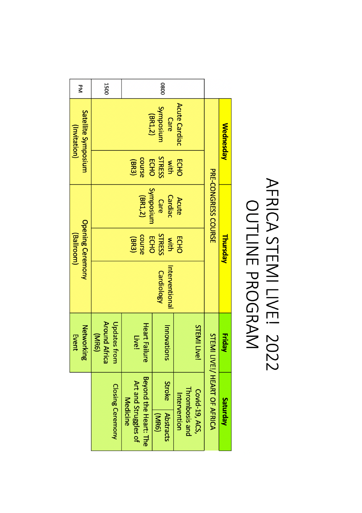| $\mathsf{\vec{z}}$                    | 1500                                                 |                                                                  | 0800                                |                                                  |                              |                  |  |
|---------------------------------------|------------------------------------------------------|------------------------------------------------------------------|-------------------------------------|--------------------------------------------------|------------------------------|------------------|--|
| Satellite Symposium<br>(Invitation)   |                                                      | (BR1,2)                                                          | Symposium<br><b>Care</b>            | <b>Acute Cardiac</b>                             |                              | <b>Wednesday</b> |  |
|                                       |                                                      | course<br><b>ECHO</b><br>(BR3)                                   | <b>STRESS</b><br>with               | <b>ECHO</b>                                      |                              |                  |  |
|                                       |                                                      | Symposium<br>(BR1, 2)                                            | Cardiac<br><b>Care</b>              | <b>Acute</b>                                     | <b>PRE-CONGRESS CONSE</b>    |                  |  |
| <b>Opening Ceremony</b><br>(Ballroom) |                                                      | course<br><b>ECHO</b><br>(BR3)                                   | <b>STRESS</b><br>with               | <b>ECHO</b>                                      |                              | <b>Thursday</b>  |  |
|                                       |                                                      |                                                                  | Interventional<br><b>Cardiology</b> |                                                  |                              |                  |  |
| <b>Networki</b><br>Event<br>ౙె        | <b>Around Africa</b><br><b>Updates from</b><br>(MR6) | <b>Heart Failure</b><br>Live!                                    | Innovations                         | <b>STEMI Live!</b>                               | STEMI LIVEI/ HEART OF AFRICA | <b>Friday</b>    |  |
|                                       |                                                      |                                                                  | <b>Stroke</b>                       |                                                  |                              |                  |  |
|                                       | <b>Closing Ceremony</b>                              | <b>Beyond the Heart: The</b><br>Art and Struggles of<br>Medicine | Abstracts<br>(MR6)                  | Thrombosis and<br>Covid-19, ACS,<br>Intervention |                              | Saturday         |  |

# AFRICA STEMI LIVE! 2022<br>OUTLINE PROGRAM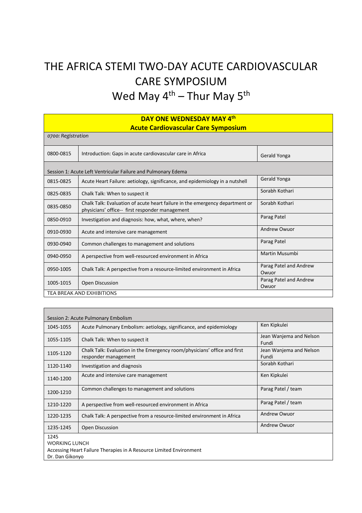# THE AFRICA STEMI TWO-DAY ACUTE CARDIOVASCULAR CARE SYMPOSIUM Wed May  $4^{th}$  – Thur May  $5^{th}$

| DAY ONE WEDNESDAY MAY 4th<br><b>Acute Cardiovascular Care Symposium</b> |                                                                                                                                 |                                 |  |
|-------------------------------------------------------------------------|---------------------------------------------------------------------------------------------------------------------------------|---------------------------------|--|
| 0700: Registration                                                      |                                                                                                                                 |                                 |  |
| 0800-0815                                                               | Introduction: Gaps in acute cardiovascular care in Africa                                                                       | Gerald Yonga                    |  |
|                                                                         | Session 1: Acute Left Ventricular Failure and Pulmonary Edema                                                                   |                                 |  |
| 0815-0825                                                               | Acute Heart Failure: aetiology, significance, and epidemiology in a nutshell                                                    | Gerald Yonga                    |  |
| 0825-0835                                                               | Chalk Talk: When to suspect it                                                                                                  | Sorabh Kothari                  |  |
| 0835-0850                                                               | Chalk Talk: Evaluation of acute heart failure in the emergency department or<br>physicians' office-- first responder management | Sorabh Kothari                  |  |
| 0850-0910                                                               | Investigation and diagnosis: how, what, where, when?                                                                            | Parag Patel                     |  |
| 0910-0930                                                               | Acute and intensive care management                                                                                             | Andrew Owuor                    |  |
| 0930-0940                                                               | Common challenges to management and solutions                                                                                   | Parag Patel                     |  |
| 0940-0950                                                               | A perspective from well-resourced environment in Africa                                                                         | Martin Musumbi                  |  |
| 0950-1005                                                               | Chalk Talk: A perspective from a resource-limited environment in Africa                                                         | Parag Patel and Andrew<br>Owuor |  |
| 1005-1015                                                               | Open Discussion                                                                                                                 | Parag Patel and Andrew<br>Owuor |  |
| <b>TEA BREAK AND EXHIBITIONS</b>                                        |                                                                                                                                 |                                 |  |

| Session 2: Acute Pulmonary Embolism                                                                                                                                                       |                                                                                                   |                                  |  |
|-------------------------------------------------------------------------------------------------------------------------------------------------------------------------------------------|---------------------------------------------------------------------------------------------------|----------------------------------|--|
| 1045-1055                                                                                                                                                                                 | Acute Pulmonary Embolism: aetiology, significance, and epidemiology                               | Ken Kipkulei                     |  |
| 1055-1105                                                                                                                                                                                 | Chalk Talk: When to suspect it                                                                    | Jean Wanjema and Nelson<br>Fundi |  |
| 1105-1120                                                                                                                                                                                 | Chalk Talk: Evaluation in the Emergency room/physicians' office and first<br>responder management | Jean Wanjema and Nelson<br>Fundi |  |
| 1120-1140                                                                                                                                                                                 | Investigation and diagnosis                                                                       | Sorabh Kothari                   |  |
| 1140-1200                                                                                                                                                                                 | Acute and intensive care management                                                               | Ken Kipkulei                     |  |
| 1200-1210                                                                                                                                                                                 | Common challenges to management and solutions                                                     | Parag Patel / team               |  |
| 1210-1220                                                                                                                                                                                 | A perspective from well-resourced environment in Africa                                           | Parag Patel / team               |  |
| 1220-1235                                                                                                                                                                                 | Chalk Talk: A perspective from a resource-limited environment in Africa                           | Andrew Owuor                     |  |
| 1235-1245                                                                                                                                                                                 | Open Discussion                                                                                   | Andrew Owuor                     |  |
| 1245<br><b>WORKING LUNCH</b><br>Accessing Heart Failure Therapies in A Resource Limited Environment<br>$\mathsf{D}_{\mathsf{r}}$ , $\mathsf{D}_{\mathsf{a}}$ of $\mathsf{Cil}_\mathsf{a}$ |                                                                                                   |                                  |  |

Dr. Dan Gikonyo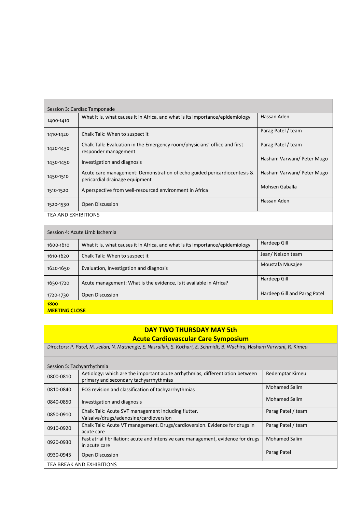| Session 3: Cardiac Tamponade |                                                                                                            |                              |  |  |
|------------------------------|------------------------------------------------------------------------------------------------------------|------------------------------|--|--|
| 1400-1410                    | What it is, what causes it in Africa, and what is its importance/epidemiology                              | Hassan Aden                  |  |  |
| 1410-1420                    | Chalk Talk: When to suspect it                                                                             | Parag Patel / team           |  |  |
| 1420-1430                    | Chalk Talk: Evaluation in the Emergency room/physicians' office and first<br>responder management          | Parag Patel / team           |  |  |
| 1430-1450                    | Investigation and diagnosis                                                                                | Hasham Varwani/ Peter Mugo   |  |  |
| 1450-1510                    | Acute care management: Demonstration of echo guided pericardiocentesis &<br>pericardial drainage equipment | Hasham Varwani/ Peter Mugo   |  |  |
| 1510-1520                    | A perspective from well-resourced environment in Africa                                                    | Mohsen Gaballa               |  |  |
| 1520-1530                    | Open Discussion                                                                                            | Hassan Aden                  |  |  |
|                              | <b>TEA AND EXHIBITIONS</b>                                                                                 |                              |  |  |
|                              | Session 4: Acute Limb Ischemia                                                                             |                              |  |  |
| 1600-1610                    | What it is, what causes it in Africa, and what is its importance/epidemiology                              | Hardeep Gill                 |  |  |
| 1610-1620                    | Chalk Talk: When to suspect it                                                                             | Jean/ Nelson team            |  |  |
| 1620-1650                    | Evaluation, Investigation and diagnosis                                                                    | Moustafa Musajee             |  |  |
| 1650-1720                    | Acute management: What is the evidence, is it available in Africa?                                         | Hardeep Gill                 |  |  |
| 1720-1730                    | Open Discussion                                                                                            | Hardeep Gill and Parag Patel |  |  |
| 1800<br><b>MEETING CLOSE</b> |                                                                                                            |                              |  |  |

| DAY TWO THURSDAY MAY 5th   |                                                                                                                         |                      |  |
|----------------------------|-------------------------------------------------------------------------------------------------------------------------|----------------------|--|
|                            | <b>Acute Cardiovascular Care Symposium</b>                                                                              |                      |  |
|                            | Directors: P. Patel, M. Jeilan, N. Mathenge, E. Nasrallah, S. Kothari, E. Schmidt, B. Wachira, Hasham Varwani, R. Kimeu |                      |  |
| Session 5: Tachyarrhythmia |                                                                                                                         |                      |  |
| 0800-0810                  | Aetiology: which are the important acute arrhythmias, differentiation between<br>primary and secondary tachyarrhythmias | Redemptar Kimeu      |  |
| 0810-0840                  | ECG revision and classification of tachyarrhythmias                                                                     | <b>Mohamed Salim</b> |  |
| 0840-0850                  | Investigation and diagnosis                                                                                             | <b>Mohamed Salim</b> |  |
| 0850-0910                  | Chalk Talk: Acute SVT management including flutter.<br>Valsalva/drugs/adenosine/cardioversion                           | Parag Patel / team   |  |
| 0910-0920                  | Chalk Talk: Acute VT management. Drugs/cardioversion. Evidence for drugs in<br>acute care                               | Parag Patel / team   |  |
| 0920-0930                  | Fast atrial fibrillation: acute and intensive care management, evidence for drugs<br>in acute care                      | <b>Mohamed Salim</b> |  |
| 0930-0945                  | Open Discussion                                                                                                         | Parag Patel          |  |
| TEA BREAK AND EXHIBITIONS  |                                                                                                                         |                      |  |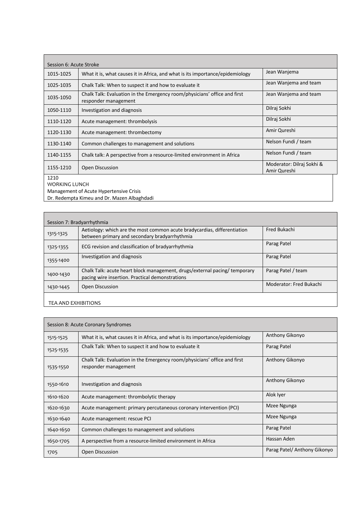| Session 6: Acute Stroke      |                                                                                                   |                                           |  |
|------------------------------|---------------------------------------------------------------------------------------------------|-------------------------------------------|--|
| 1015-1025                    | What it is, what causes it in Africa, and what is its importance/epidemiology                     | Jean Wanjema                              |  |
| 1025-1035                    | Chalk Talk: When to suspect it and how to evaluate it                                             | Jean Wanjema and team                     |  |
| 1035-1050                    | Chalk Talk: Evaluation in the Emergency room/physicians' office and first<br>responder management | Jean Wanjema and team                     |  |
| 1050-1110                    | Investigation and diagnosis                                                                       | Dilraj Sokhi                              |  |
| 1110-1120                    | Acute management: thrombolysis                                                                    | Dilraj Sokhi                              |  |
| 1120-1130                    | Acute management: thrombectomy                                                                    | Amir Qureshi                              |  |
| 1130-1140                    | Common challenges to management and solutions                                                     | Nelson Fundi / team                       |  |
| 1140-1155                    | Chalk talk: A perspective from a resource-limited environment in Africa                           | Nelson Fundi / team                       |  |
| 1155-1210                    | Open Discussion                                                                                   | Moderator: Dilraj Sokhi &<br>Amir Qureshi |  |
| 1210<br><b>WORKING LUNCH</b> |                                                                                                   |                                           |  |

Management of Acute Hypertensive Crisis Dr. Redempta Kimeu and Dr. Mazen Albaghdadi

| Session 7: Bradyarrhythmia |                                                                                                                              |                         |  |
|----------------------------|------------------------------------------------------------------------------------------------------------------------------|-------------------------|--|
| 1315-1325                  | Aetiology: which are the most common acute bradycardias, differentiation<br>between primary and secondary bradyarrhythmia    | Fred Bukachi            |  |
| 1325-1355                  | ECG revision and classification of bradyarrhythmia                                                                           | Parag Patel             |  |
| 1355-1400                  | Investigation and diagnosis                                                                                                  | Parag Patel             |  |
| 1400-1430                  | Chalk Talk: acute heart block management, drugs/external pacing/temporary<br>pacing wire insertion. Practical demonstrations | Parag Patel / team      |  |
| 1430-1445                  | Open Discussion                                                                                                              | Moderator: Fred Bukachi |  |
| TEA AND EXHIBITIONS        |                                                                                                                              |                         |  |

| Session 8: Acute Coronary Syndromes |                                                                                                   |                              |  |
|-------------------------------------|---------------------------------------------------------------------------------------------------|------------------------------|--|
| 1515-1525                           | What it is, what causes it in Africa, and what is its importance/epidemiology                     | Anthony Gikonyo              |  |
| 1525-1535                           | Chalk Talk: When to suspect it and how to evaluate it                                             | Parag Patel                  |  |
| 1535-1550                           | Chalk Talk: Evaluation in the Emergency room/physicians' office and first<br>responder management | Anthony Gikonyo              |  |
| 1550-1610                           | Investigation and diagnosis                                                                       | Anthony Gikonyo              |  |
| 1610-1620                           | Acute management: thrombolytic therapy                                                            | Alok Iyer                    |  |
| 1620-1630                           | Acute management: primary percutaneous coronary intervention (PCI)                                | Mzee Ngunga                  |  |
| 1630-1640                           | Acute management: rescue PCI                                                                      | Mzee Ngunga                  |  |
| 1640-1650                           | Common challenges to management and solutions                                                     | Parag Patel                  |  |
| 1650-1705                           | A perspective from a resource-limited environment in Africa                                       | Hassan Aden                  |  |
| 1705                                | Open Discussion                                                                                   | Parag Patel/ Anthony Gikonyo |  |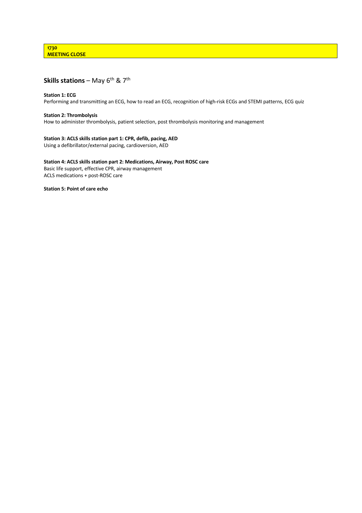### **Skills stations** – May 6<sup>th</sup> & 7<sup>th</sup>

### **Station 1: ECG**

Performing and transmitting an ECG, how to read an ECG, recognition of high-risk ECGs and STEMI patterns, ECG quiz

### **Station 2: Thrombolysis**

How to administer thrombolysis, patient selection, post thrombolysis monitoring and management

### **Station 3: ACLS skills station part 1: CPR, defib, pacing, AED**

Using a defibrillator/external pacing, cardioversion, AED

**Station 4: ACLS skills station part 2: Medications, Airway, Post ROSC care** Basic life support, effective CPR, airway management ACLS medications + post-ROSC care

**Station 5: Point of care echo**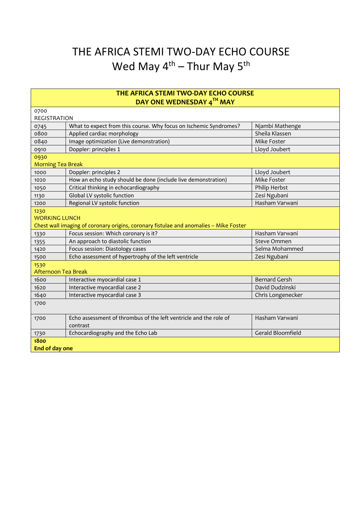# THE AFRICA STEMI TWO-DAY ECHO COURSE Wed May  $4^{th}$  – Thur May  $5^{th}$

| THE AFRICA STEMI TWO-DAY ECHO COURSE |                                                                                       |                      |  |
|--------------------------------------|---------------------------------------------------------------------------------------|----------------------|--|
| DAY ONE WEDNESDAY 4TH MAY            |                                                                                       |                      |  |
| 0700                                 |                                                                                       |                      |  |
| <b>REGISTRATION</b>                  |                                                                                       |                      |  |
| 0745                                 | What to expect from this course. Why focus on Ischemic Syndromes?                     | Njambi Mathenge      |  |
| 0800                                 | Applied cardiac morphology                                                            | Sheila Klassen       |  |
| 0840                                 | Image optimization (Live demonstration)                                               | Mike Foster          |  |
| 0910                                 | Doppler: principles 1                                                                 | Lloyd Joubert        |  |
| 0930                                 |                                                                                       |                      |  |
| <b>Morning Tea Break</b>             |                                                                                       |                      |  |
| 1000                                 | Doppler: principles 2                                                                 | Lloyd Joubert        |  |
| 1020                                 | How an echo study should be done (include live demonstration)                         | Mike Foster          |  |
| 1050                                 | Critical thinking in echocardiography                                                 | Philip Herbst        |  |
| 1130                                 | Global LV systolic function                                                           | Zesi Ngubani         |  |
| 1200                                 | Regional LV systolic function                                                         | Hasham Varwani       |  |
| 1230                                 |                                                                                       |                      |  |
| <b>WORKING LUNCH</b>                 |                                                                                       |                      |  |
|                                      | Chest wall imaging of coronary origins, coronary fistulae and anomalies - Mike Foster |                      |  |
| 1330                                 | Focus session: Which coronary is it?                                                  | Hasham Varwani       |  |
| 1355                                 | An approach to diastolic function                                                     | Steve Ommen          |  |
| 1420                                 | Focus session: Diastology cases                                                       | Selma Mohammed       |  |
| 1500                                 | Echo assessment of hypertrophy of the left ventricle                                  | Zesi Ngubani         |  |
| 1530                                 |                                                                                       |                      |  |
| <b>Afternoon Tea Break</b>           |                                                                                       |                      |  |
| 1600                                 | Interactive myocardial case 1                                                         | <b>Bernard Gersh</b> |  |
| 1620                                 | Interactive myocardial case 2                                                         | David Dudzinski      |  |
| 1640                                 | Interactive myocardial case 3                                                         | Chris Longenecker    |  |
| 1700                                 |                                                                                       |                      |  |
| 1700                                 | Echo assessment of thrombus of the left ventricle and the role of<br>contrast         | Hasham Varwani       |  |
| 1730                                 | Echocardiography and the Echo Lab                                                     | Gerald Bloomfield    |  |
| 1800                                 |                                                                                       |                      |  |
| End of day one                       |                                                                                       |                      |  |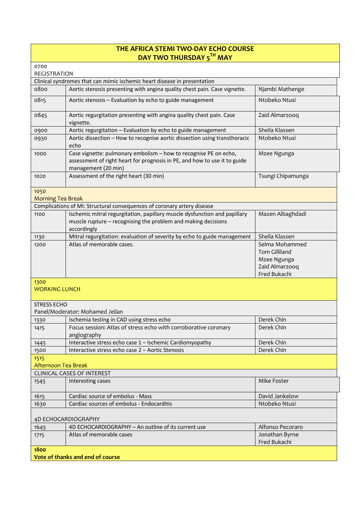| DAY TWO THURSDAY 5TH MAY                 |                                                                                                                                                                      |                                                                                  |  |
|------------------------------------------|----------------------------------------------------------------------------------------------------------------------------------------------------------------------|----------------------------------------------------------------------------------|--|
| 0700                                     |                                                                                                                                                                      |                                                                                  |  |
| <b>REGISTRATION</b>                      |                                                                                                                                                                      |                                                                                  |  |
|                                          | Clinical syndromes that can mimic ischemic heart disease in presentation                                                                                             |                                                                                  |  |
| 0800                                     | Aortic stenosis presenting with angina quality chest pain. Case vignette.                                                                                            | Njambi Mathenge                                                                  |  |
| 0815                                     | Aortic stenosis - Evaluation by echo to guide management                                                                                                             | Ntobeko Ntusi                                                                    |  |
| 0845                                     | Aortic regurgitation presenting with angina quality chest pain. Case<br>vignette.                                                                                    | Zaid Almarzooq                                                                   |  |
| 0900                                     | Aortic regurgitation - Evaluation by echo to guide management                                                                                                        | Sheila Klassen                                                                   |  |
| 0930                                     | Aortic dissection - How to recognise aortic dissection using transthoracic<br>echo                                                                                   | Ntobeko Ntusi                                                                    |  |
| 1000                                     | Case vignette: pulmonary embolism - how to recognise PE on echo,<br>assessment of right heart for prognosis in PE, and how to use it to guide<br>management (20 min) | Mzee Ngunga                                                                      |  |
| 1020                                     | Assessment of the right heart (30 min)                                                                                                                               | Tsungi Chipamunga                                                                |  |
| 1050<br>Morning Tea Break                |                                                                                                                                                                      |                                                                                  |  |
|                                          | Complications of MI: Structural consequences of coronary artery disease                                                                                              |                                                                                  |  |
| 1100                                     | Ischemic mitral regurgitation, papillary muscle dysfunction and papillary<br>muscle rupture - recognising the problem and making decisions<br>accordingly            | Mazen Albaghdadi                                                                 |  |
| 1130                                     | Mitral regurgitation: evaluation of severity by echo to guide management                                                                                             | Sheila Klassen                                                                   |  |
| 1200                                     | Atlas of memorable cases.                                                                                                                                            | Selma Mohammed<br>Tom Gilliland<br>Mzee Ngunga<br>Zaid Almarzooq<br>Fred Bukachi |  |
| 1300<br><b>WORKING LUNCH</b>             |                                                                                                                                                                      |                                                                                  |  |
| <b>STRESS ECHO</b>                       |                                                                                                                                                                      |                                                                                  |  |
|                                          | Panel/Moderator: Mohamed Jeilan                                                                                                                                      |                                                                                  |  |
| 1330                                     | Ischemia testing in CAD using stress echo                                                                                                                            | Derek Chin                                                                       |  |
| 1415                                     | Focus session: Atlas of stress echo with corroborative coronary<br>angiography                                                                                       | Derek Chin                                                                       |  |
| 1445                                     | Interactive stress echo case 1 - Ischemic Cardiomyopathy                                                                                                             | Derek Chin                                                                       |  |
| 1500                                     | Interactive stress echo case 2 - Aortic Stenosis                                                                                                                     | Derek Chin                                                                       |  |
| 1515                                     |                                                                                                                                                                      |                                                                                  |  |
| <b>Afternoon Tea Break</b>               |                                                                                                                                                                      |                                                                                  |  |
|                                          | <b>CLINICAL CASES OF INTEREST</b>                                                                                                                                    |                                                                                  |  |
| 1545                                     | Interesting cases                                                                                                                                                    | Mike Foster                                                                      |  |
| 1615                                     | Cardiac source of embolus - Mass                                                                                                                                     | David Jankelow                                                                   |  |
| 1630                                     | Cardiac sources of embolus - Endocarditis                                                                                                                            | Ntobeko Ntusi                                                                    |  |
| 4D ECHOCARDIOGRAPHY                      |                                                                                                                                                                      |                                                                                  |  |
| 1645                                     | 4D ECHOCARDIOGRAPHY - An outline of its current use                                                                                                                  | Alfonso Pecoraro                                                                 |  |
| 1715                                     | Atlas of memorable cases                                                                                                                                             | Jonathan Byrne<br>Fred Bukachi                                                   |  |
| 1800<br>Vote of thanks and end of course |                                                                                                                                                                      |                                                                                  |  |

**THE AFRICA STEMI TWO-DAY ECHO COURSE**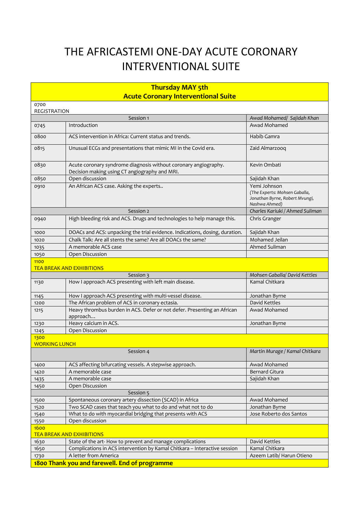# THE AFRICASTEMI ONE-DAY ACUTE CORONARY INTERVENTIONAL SUITE

| <b>Thursday MAY 5th</b> |                                                                                                                  |                                                                                                  |
|-------------------------|------------------------------------------------------------------------------------------------------------------|--------------------------------------------------------------------------------------------------|
|                         | <b>Acute Coronary Interventional Suite</b>                                                                       |                                                                                                  |
| 0700<br>REGISTRATION    |                                                                                                                  |                                                                                                  |
|                         | Session 1                                                                                                        | Awad Mohamed/ Sajidah Khan                                                                       |
| 0745                    | Introduction                                                                                                     | Awad Mohamed                                                                                     |
| 0800                    | ACS intervention in Africa: Current status and trends.                                                           | Habib Gamra                                                                                      |
| 0815                    | Unusual ECGs and presentations that mimic MI in the Covid era.                                                   | Zaid Almarzooq                                                                                   |
| 0830                    | Acute coronary syndrome diagnosis without coronary angiography.<br>Decision making using CT angiography and MRI. | Kevin Ombati                                                                                     |
| 0850                    | Open discussion                                                                                                  | Sajidah Khan                                                                                     |
| 0910                    | An African ACS case. Asking the experts                                                                          | Yemi Johnson<br>(The Experts: Mohsen Gaballa,<br>Jonathan Byrne, Robert Mvungi,<br>Nashwa Ahmed) |
|                         | Session 2                                                                                                        | Charles Kariuki / Ahmed Suliman                                                                  |
| 0940                    | High bleeding risk and ACS. Drugs and technologies to help manage this.                                          | Chris Granger                                                                                    |
| 1000                    | DOACs and ACS: unpacking the trial evidence. Indications, dosing, duration.                                      | Sajidah Khan                                                                                     |
| 1020                    | Chalk Talk: Are all stents the same? Are all DOACs the same?                                                     | Mohamed Jeilan                                                                                   |
| 1035                    | A memorable ACS case                                                                                             | Ahmed Suliman                                                                                    |
| 1050                    | Open Discussion                                                                                                  |                                                                                                  |
| 1100                    | <b>TEA BREAK AND EXHIBITIONS</b>                                                                                 |                                                                                                  |
|                         | Session 3                                                                                                        | Mohsen Gaballa/ David Kettles                                                                    |
| 1130                    | How I approach ACS presenting with left main disease.                                                            | Kamal Chitkara                                                                                   |
| 1145                    | How I approach ACS presenting with multi-vessel disease.                                                         | Jonathan Byrne                                                                                   |
| 1200                    | The African problem of ACS in coronary ectasia.                                                                  | David Kettles                                                                                    |
| 1215                    | Heavy thrombus burden in ACS. Defer or not defer. Presenting an African<br>approach                              | Awad Mohamed                                                                                     |
| 1230                    | Heavy calcium in ACS.                                                                                            | Jonathan Byrne                                                                                   |
| 1245                    | Open Discussion                                                                                                  |                                                                                                  |
| 1300                    |                                                                                                                  |                                                                                                  |
| <b>WORKING LUNCH</b>    |                                                                                                                  |                                                                                                  |
|                         | Session 4                                                                                                        | Martin Murage / Kamal Chitkara                                                                   |
| 1400                    | ACS affecting bifurcating vessels. A stepwise approach.                                                          | Awad Mohamed                                                                                     |
| 1420                    | A memorable case                                                                                                 | <b>Bernard Gitura</b>                                                                            |
| 1435                    | A memorable case                                                                                                 | Sajidah Khan                                                                                     |
| 1450                    | Open Discussion                                                                                                  |                                                                                                  |
|                         | Session 5                                                                                                        |                                                                                                  |
| 1500                    | Spontaneous coronary artery dissection (SCAD) in Africa                                                          | Awad Mohamed                                                                                     |
| 1520                    | Two SCAD cases that teach you what to do and what not to do                                                      | Jonathan Byrne                                                                                   |
| 1540                    | What to do with myocardial bridging that presents with ACS                                                       | Jose Roberto dos Santos                                                                          |
| 1550                    | Open discussion                                                                                                  |                                                                                                  |
| 1600                    | <b>TEA BREAK AND EXHIBITIONS</b>                                                                                 |                                                                                                  |
| 1630                    | State of the art-How to prevent and manage complications                                                         | David Kettles                                                                                    |
| 1650                    | Complications in ACS intervention by Kamal Chitkara - Interactive session                                        | Kamal Chitkara                                                                                   |
| 1730                    | A letter from America                                                                                            | Azeem Latib/ Harun Otieno                                                                        |
|                         | 1800 Thank you and farewell. End of programme                                                                    |                                                                                                  |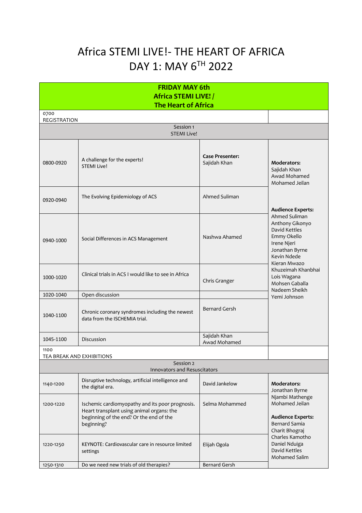# Africa STEMI LIVE!- THE HEART OF AFRICA DAY 1: MAY 6TH 2022

| <b>FRIDAY MAY 6th</b><br><b>Africa STEMI LIVE! /</b><br><b>The Heart of Africa</b> |                                                                                                                                                       |                                        |                                                                                                                                                                                                                       |
|------------------------------------------------------------------------------------|-------------------------------------------------------------------------------------------------------------------------------------------------------|----------------------------------------|-----------------------------------------------------------------------------------------------------------------------------------------------------------------------------------------------------------------------|
| 0700<br><b>REGISTRATION</b>                                                        |                                                                                                                                                       |                                        |                                                                                                                                                                                                                       |
|                                                                                    | Session 1<br><b>STEMI Live!</b>                                                                                                                       |                                        |                                                                                                                                                                                                                       |
| 0800-0920                                                                          | A challenge for the experts!<br><b>STEMI Live!</b>                                                                                                    | <b>Case Presenter:</b><br>Sajidah Khan | <b>Moderators:</b><br>Sajidah Khan<br>Awad Mohamed<br>Mohamed Jeilan                                                                                                                                                  |
| 0920-0940                                                                          | The Evolving Epidemiology of ACS                                                                                                                      | Ahmed Suliman                          | <b>Audience Experts:</b>                                                                                                                                                                                              |
| 0940-1000                                                                          | Social Differences in ACS Management                                                                                                                  | Nashwa Ahamed                          | Ahmed Suliman<br>Anthony Gikonyo<br>David Kettles<br>Emmy Okello<br>Irene Njeri<br>Jonathan Byrne<br>Kevin Ndede<br>Kieran Mwazo                                                                                      |
| 1000-1020                                                                          | Clinical trials in ACS I would like to see in Africa                                                                                                  | Chris Granger                          | Khuzeimah Khanbhai<br>Lois Wagana<br>Mohsen Gaballa                                                                                                                                                                   |
| 1020-1040                                                                          | Open discussion                                                                                                                                       |                                        | Nadeem Sheikh<br>Yemi Johnson                                                                                                                                                                                         |
| 1040-1100                                                                          | Chronic coronary syndromes including the newest<br>data from the ISCHEMIA trial.                                                                      | <b>Bernard Gersh</b>                   |                                                                                                                                                                                                                       |
| 1045-1100                                                                          | Discussion                                                                                                                                            | Sajidah Khan<br>Awad Mohamed           |                                                                                                                                                                                                                       |
| 1100                                                                               | TEA BREAK AND EXHIBITIONS                                                                                                                             |                                        |                                                                                                                                                                                                                       |
|                                                                                    | Session 2<br>Innovators and Resuscitators                                                                                                             |                                        |                                                                                                                                                                                                                       |
| 1140-1200                                                                          | Disruptive technology, artificial intelligence and<br>the digital era.                                                                                | David Jankelow                         | <b>Moderators:</b><br>Jonathan Byrne<br>Njambi Mathenge<br>Mohamed Jeilan<br><b>Audience Experts:</b><br><b>Bernard Samia</b><br>Charit Bhograj<br>Charles Kamotho<br>Daniel Nduiga<br>David Kettles<br>Mohamed Salim |
| 1200-1220                                                                          | Ischemic cardiomyopathy and its poor prognosis.<br>Heart transplant using animal organs: the<br>beginning of the end? Or the end of the<br>beginning? | Selma Mohammed                         |                                                                                                                                                                                                                       |
| 1220-1250                                                                          | KEYNOTE: Cardiovascular care in resource limited<br>settings                                                                                          | Elijah Ogola                           |                                                                                                                                                                                                                       |
| 1250-1310                                                                          | Do we need new trials of old therapies?                                                                                                               | <b>Bernard Gersh</b>                   |                                                                                                                                                                                                                       |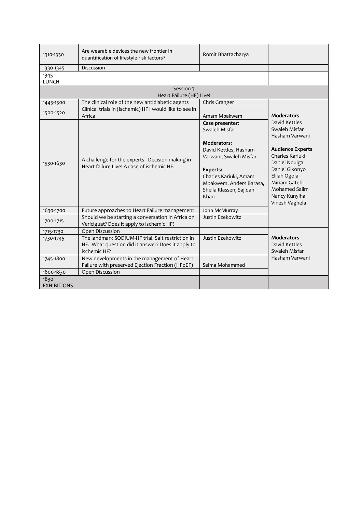| 1310-1330          | Are wearable devices the new frontier in<br>quantification of lifestyle risk factors?          | Romit Bhattacharya      |                         |
|--------------------|------------------------------------------------------------------------------------------------|-------------------------|-------------------------|
|                    |                                                                                                |                         |                         |
| 1330-1345          | <b>Discussion</b>                                                                              |                         |                         |
| 1345<br>LUNCH      |                                                                                                |                         |                         |
|                    | Session 3                                                                                      |                         |                         |
|                    | Heart Failure (HF) Live!                                                                       |                         |                         |
| 1445-1500          | The clinical role of the new antidiabetic agents                                               | Chris Granger           |                         |
| 1500-1520          | Clinical trials in (ischemic) HF I would like to see in<br>Africa                              | Amam Mbakwem            | <b>Moderators</b>       |
|                    |                                                                                                | Case presenter:         | David Kettles           |
|                    |                                                                                                | Swaleh Misfar           | Swaleh Misfar           |
|                    | A challenge for the experts - Decision making in<br>Heart failure Live! A case of ischemic HF. |                         | Hasham Varwani          |
|                    |                                                                                                | <b>Moderators:</b>      |                         |
|                    |                                                                                                | David Kettles, Hasham   | <b>Audience Experts</b> |
|                    |                                                                                                | Varwani, Swaleh Misfar  | Charles Kariuki         |
| 1530-1630          |                                                                                                |                         | Daniel Nduiga           |
|                    |                                                                                                | <b>Experts:</b>         | Daniel Gikonyo          |
|                    |                                                                                                | Charles Kariuki, Amam   | Elijah Ogola            |
|                    |                                                                                                | Mbakwem, Anders Barasa, | Miriam Gatehi           |
|                    |                                                                                                | Sheila Klassen, Sajidah | <b>Mohamed Salim</b>    |
|                    |                                                                                                | Khan                    | Nancy Kunyiha           |
|                    |                                                                                                |                         | Vinesh Vaghela          |
| 1630-1700          | Future approaches to Heart Failure management                                                  | John McMurray           |                         |
| 1700-1715          | Should we be starting a conversation in Africa on                                              | Justin Ezekowitz        |                         |
|                    | Vericiguat? Does it apply to ischemic HF?                                                      |                         |                         |
| 1715-1730          | Open Discussion                                                                                |                         |                         |
| 1730-1745          | The landmark SODIUM-HF trial. Salt restriction in                                              | Justin Ezekowitz        | <b>Moderators</b>       |
|                    | HF. What question did it answer? Does it apply to                                              |                         | David Kettles           |
|                    | ischemic HF?                                                                                   |                         | Swaleh Misfar           |
| 1745-1800          | New developments in the management of Heart                                                    |                         | Hasham Varwani          |
|                    | Failure with preserved Ejection Fraction (HFpEF)                                               | Selma Mohammed          |                         |
| 1800-1830          | Open Discussion                                                                                |                         |                         |
| 1830               |                                                                                                |                         |                         |
| <b>EXHIBITIONS</b> |                                                                                                |                         |                         |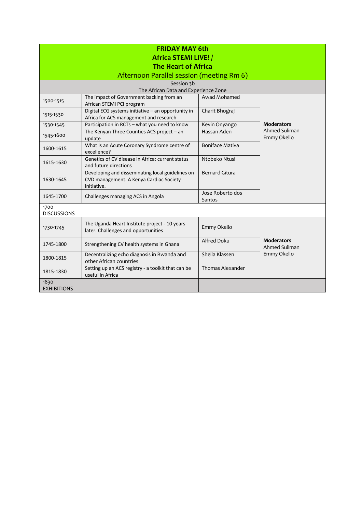| <b>FRIDAY MAY 6th</b>                              |                                                                                                            |                            |                                                   |  |  |
|----------------------------------------------------|------------------------------------------------------------------------------------------------------------|----------------------------|---------------------------------------------------|--|--|
| <b>Africa STEMI LIVE! /</b>                        |                                                                                                            |                            |                                                   |  |  |
| <b>The Heart of Africa</b>                         |                                                                                                            |                            |                                                   |  |  |
| Afternoon Parallel session (meeting Rm 6)          |                                                                                                            |                            |                                                   |  |  |
| Session 3b<br>The African Data and Experience Zone |                                                                                                            |                            |                                                   |  |  |
| 1500-1515                                          | The impact of Government backing from an<br>African STEMI PCI program                                      | Awad Mohamed               | <b>Moderators</b><br>Ahmed Suliman<br>Emmy Okello |  |  |
| 1515-1530                                          | Digital ECG systems initiative - an opportunity in<br>Africa for ACS management and research               | Charit Bhograj             |                                                   |  |  |
| 1530-1545                                          | Participation in RCTs - what you need to know                                                              | Kevin Onyango              |                                                   |  |  |
| 1545-1600                                          | The Kenyan Three Counties ACS project - an<br>update                                                       | Hassan Aden                |                                                   |  |  |
| 1600-1615                                          | What is an Acute Coronary Syndrome centre of<br>excellence?                                                | <b>Boniface Mativa</b>     |                                                   |  |  |
| 1615-1630                                          | Genetics of CV disease in Africa: current status<br>and future directions                                  | Ntobeko Ntusi              |                                                   |  |  |
| 1630-1645                                          | Developing and disseminating local guidelines on<br>CVD management. A Kenya Cardiac Society<br>initiative. | <b>Bernard Gitura</b>      |                                                   |  |  |
| 1645-1700                                          | Challenges managing ACS in Angola                                                                          | Jose Roberto dos<br>Santos |                                                   |  |  |
| 1700<br><b>DISCUSSIONS</b>                         |                                                                                                            |                            |                                                   |  |  |
| 1730-1745                                          | The Uganda Heart Institute project - 10 years<br>later. Challenges and opportunities                       | Emmy Okello                | <b>Moderators</b><br>Ahmed Suliman<br>Emmy Okello |  |  |
| 1745-1800                                          | Strengthening CV health systems in Ghana                                                                   | Alfred Doku                |                                                   |  |  |
| 1800-1815                                          | Decentralizing echo diagnosis in Rwanda and<br>other African countries                                     | Sheila Klassen             |                                                   |  |  |
| 1815-1830                                          | Setting up an ACS registry - a toolkit that can be<br>useful in Africa                                     | Thomas Alexander           |                                                   |  |  |
| 1830<br><b>EXHIBITIONS</b>                         |                                                                                                            |                            |                                                   |  |  |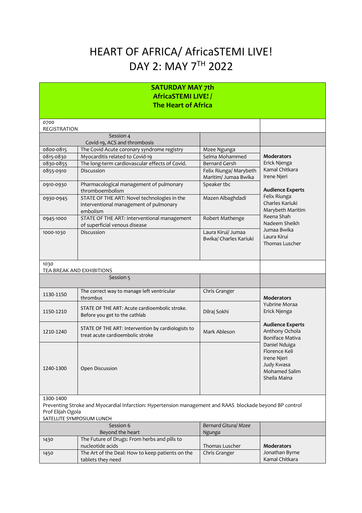# HEART OF AFRICA/ AfricaSTEMI LIVE! DAY 2: MAY 7TH 2022

### **SATURDAY MAY 7th AfricaSTEMI LIVE! / The Heart of Africa**

| 0700                |                                                                                                          |                        |                                           |
|---------------------|----------------------------------------------------------------------------------------------------------|------------------------|-------------------------------------------|
| <b>REGISTRATION</b> | Session 4                                                                                                |                        |                                           |
|                     | Covid-19, ACS and thrombosis                                                                             |                        |                                           |
| 0800-0815           | The Covid Acute coronary syndrome registry                                                               | Mzee Ngunga            |                                           |
| 0815-0830           | Myocarditis related to Covid-19                                                                          | Selma Mohammed         | <b>Moderators</b>                         |
| 0830-0855           | The long-term cardiovascular effects of Covid.                                                           | <b>Bernard Gersh</b>   | Erick Njenga                              |
| 0855-0910           | Discussion                                                                                               | Felix Riunga/ Marybeth | Kamal Chitkara                            |
|                     |                                                                                                          | Maritim/ Jumaa Bwika   | Irene Njeri                               |
| 0910-0930           | Pharmacological management of pulmonary                                                                  | Speaker tbc            |                                           |
|                     | thromboembolism                                                                                          |                        | <b>Audience Experts</b>                   |
| 0930-0945           | STATE OF THE ART: Novel technologies in the                                                              | Mazen Albaghdadi       | Felix Riunga                              |
|                     | interventional management of pulmonary                                                                   |                        | Charles Kariuki                           |
|                     | embolism                                                                                                 |                        | Marybeth Maritim                          |
| 0945-1000           | STATE OF THE ART: Interventional management                                                              | Robert Mathenge        | Reena Shah                                |
|                     | of superficial venous disease                                                                            |                        | Nadeem Sheikh                             |
| 1000-1030           | Discussion                                                                                               | Laura Kirui/ Jumaa     | Jumaa Bwika<br>Laura Kirui                |
|                     |                                                                                                          | Bwika/ Charles Kariuki | <b>Thomas Luscher</b>                     |
|                     |                                                                                                          |                        |                                           |
|                     |                                                                                                          |                        |                                           |
| 1030                |                                                                                                          |                        |                                           |
|                     | TEA BREAK AND EXHIBITIONS                                                                                |                        |                                           |
|                     | Session 5                                                                                                |                        |                                           |
|                     |                                                                                                          |                        |                                           |
| 1130-1150           | The correct way to manage left ventricular                                                               | Chris Granger          |                                           |
|                     | thrombus                                                                                                 |                        | <b>Moderators</b>                         |
|                     | STATE OF THE ART: Acute cardioembolic stroke.                                                            |                        | Yubrine Moraa                             |
| 1150-1210           | Before you get to the cathlab                                                                            | Dilraj Sokhi           | Erick Njenga                              |
|                     |                                                                                                          |                        |                                           |
| 1210-1240           | STATE OF THE ART: Intervention by cardiologists to                                                       | Mark Ableson           | <b>Audience Experts</b><br>Anthony Ochola |
|                     | treat acute cardioembolic stroke                                                                         |                        | <b>Boniface Mativa</b>                    |
|                     |                                                                                                          |                        | Daniel Nduiga                             |
|                     |                                                                                                          |                        | Florence Keli                             |
|                     |                                                                                                          |                        | Irene Njeri                               |
|                     |                                                                                                          |                        | Judy Kwasa                                |
| 1240-1300           | <b>Open Discussion</b>                                                                                   |                        | <b>Mohamed Salim</b>                      |
|                     |                                                                                                          |                        | Sheila Maina                              |
|                     |                                                                                                          |                        |                                           |
|                     |                                                                                                          |                        |                                           |
| 1300-1400           |                                                                                                          |                        |                                           |
|                     | Preventing Stroke and Myocardial Infarction: Hypertension management and RAAS blockade beyond BP control |                        |                                           |
| Prof Elijah Ogola   |                                                                                                          |                        |                                           |
|                     | SATELLITE SYMPOSIUM LUNCH                                                                                |                        |                                           |
|                     | Session 6                                                                                                | Bernard Gitura/ Mzee   |                                           |
|                     | Beyond the heart                                                                                         | Ngunga                 |                                           |
| 1430                | The Future of Drugs: From herbs and pills to<br>nucleotide acids                                         | Thomas Luscher         | <b>Moderators</b>                         |
| 1450                | The Art of the Deal: How to keep patients on the                                                         | Chris Granger          | Jonathan Byrne                            |
|                     | tablets they need                                                                                        |                        | Kamal Chitkara                            |